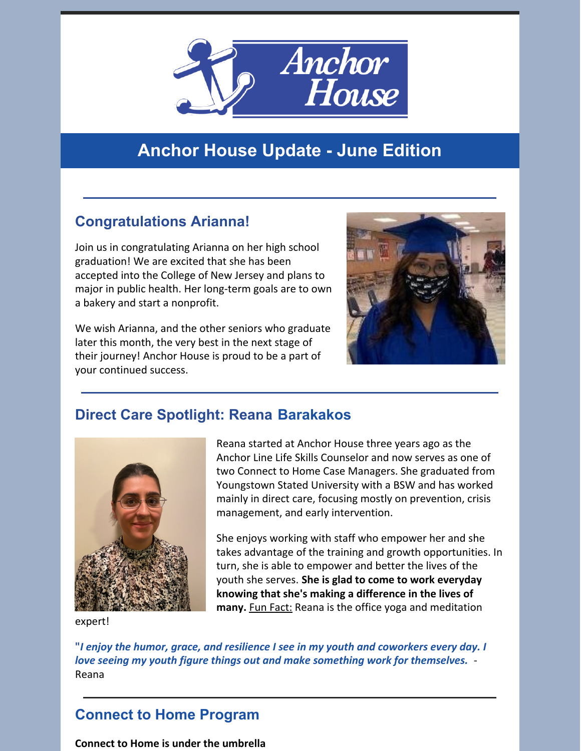

# **Anchor House Update - June Edition**

## **Congratulations Arianna!**

Join us in congratulating Arianna on her high school graduation! We are excited that she has been accepted into the College of New Jersey and plans to major in public health. Her long-term goals are to own a bakery and start a nonprofit.

We wish Arianna, and the other seniors who graduate later this month, the very best in the next stage of their journey! Anchor House is proud to be a part of your continued success.



#### **Direct Care Spotlight: Reana Barakakos**



Reana started at Anchor House three years ago as the Anchor Line Life Skills Counselor and now serves as one of two Connect to Home Case Managers. She graduated from Youngstown Stated University with a BSW and has worked mainly in direct care, focusing mostly on prevention, crisis management, and early intervention.

She enjoys working with staff who empower her and she takes advantage of the training and growth opportunities. In turn, she is able to empower and better the lives of the youth she serves. **She is glad to come to work everyday knowing that she's making a difference in the lives of many.** Fun Fact: Reana is the office yoga and meditation

expert!

**"***I enjoy the humor, grace, and resilience I see in my youth and coworkers every day. I love seeing my youth figure things out and make something work for themselves.* - Reana

### **Connect to Home Program**

**Connect to Home is under the umbrella**